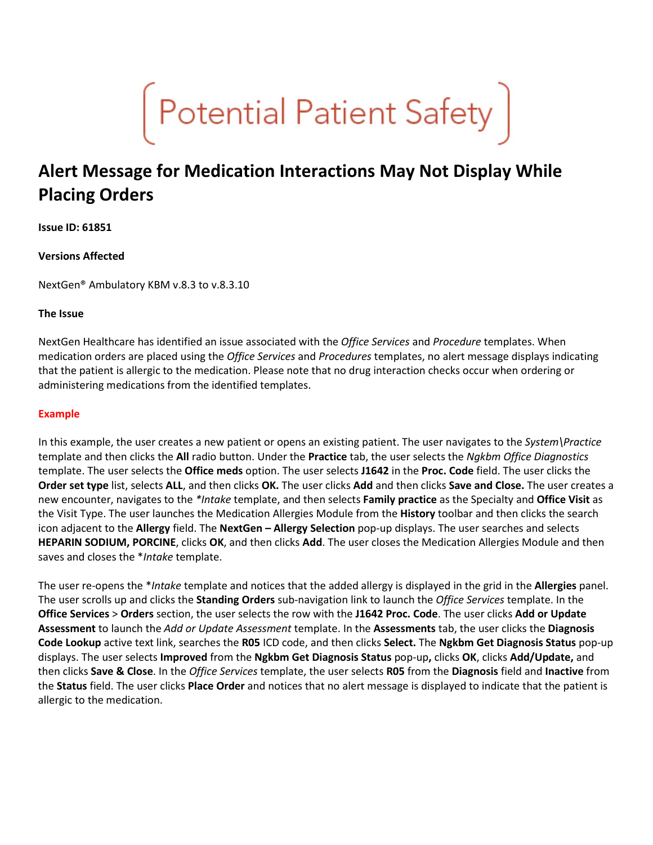

# **Alert Message for Medication Interactions May Not Display While Placing Orders**

### **Issue ID: 61851**

# **Versions Affected**

NextGen® Ambulatory KBM v.8.3 to v.8.3.10

### **The Issue**

NextGen Healthcare has identified an issue associated with the *Office Services* and *Procedure* templates. When medication orders are placed using the *Office Services* and *Procedures* templates, no alert message displays indicating that the patient is allergic to the medication. Please note that no drug interaction checks occur when ordering or administering medications from the identified templates.

### **Example**

In this example, the user creates a new patient or opens an existing patient. The user navigates to the *System\Practice* template and then clicks the **All** radio button. Under the **Practice** tab, the user selects the *Ngkbm Office Diagnostics* template. The user selects the **Office meds** option. The user selects **J1642** in the **Proc. Code** field. The user clicks the **Order set type** list, selects **ALL**, and then clicks **OK.** The user clicks **Add** and then clicks **Save and Close.** The user creates a new encounter, navigates to the *\*Intake* template, and then selects **Family practice** as the Specialty and **Office Visit** as the Visit Type. The user launches the Medication Allergies Module from the **History** toolbar and then clicks the search icon adjacent to the **Allergy** field. The **NextGen – Allergy Selection** pop-up displays. The user searches and selects **HEPARIN SODIUM, PORCINE**, clicks **OK**, and then clicks **Add**. The user closes the Medication Allergies Module and then saves and closes the \**Intake* template.

The user re-opens the \**Intake* template and notices that the added allergy is displayed in the grid in the **Allergies** panel. The user scrolls up and clicks the **Standing Orders** sub-navigation link to launch the *Office Services* template. In the **Office Services** > **Orders** section, the user selects the row with the **J1642 Proc. Code**. The user clicks **Add or Update Assessment** to launch the *Add or Update Assessment* template. In the **Assessments** tab, the user clicks the **Diagnosis Code Lookup** active text link, searches the **R05** ICD code, and then clicks **Select.** The **Ngkbm Get Diagnosis Status** pop-up displays. The user selects **Improved** from the **Ngkbm Get Diagnosis Status** pop-up**,** clicks **OK**, clicks **Add/Update,** and then clicks **Save & Close**. In the *Office Services* template, the user selects **R05** from the **Diagnosis** field and **Inactive** from the **Status** field. The user clicks **Place Order** and notices that no alert message is displayed to indicate that the patient is allergic to the medication.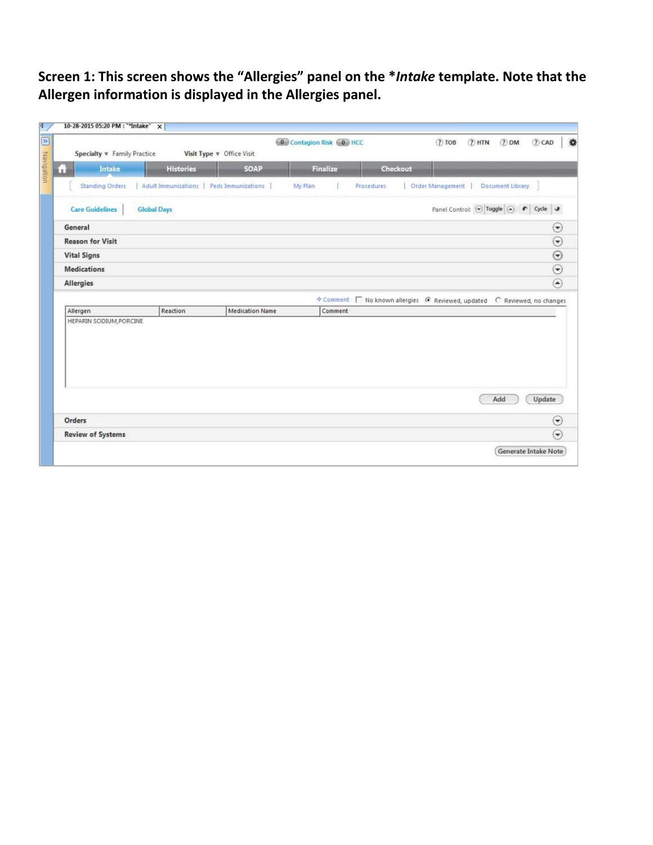**Screen 1: This screen shows the "Allergies" panel on the \****Intake* **template. Note that the Allergen information is displayed in the Allergies panel.**

|                             |                    |                                          | Contagion Risk C HCC |                                                                               | $(?)$ TOB                   | (2) HTN (2) DM |                  | (?) CAD                 |
|-----------------------------|--------------------|------------------------------------------|----------------------|-------------------------------------------------------------------------------|-----------------------------|----------------|------------------|-------------------------|
| Specialty v Family Practice |                    | Visit Type v Office Visit                |                      |                                                                               |                             |                |                  |                         |
| Intake<br>ш                 | <b>Histories</b>   | <b>SOAP</b>                              | Finalize             | Checkout                                                                      |                             |                |                  |                         |
| <b>Standing Orders</b>      |                    | Adult Immunizations   Peds Immunizations | My Plan              | <b>Procedures</b>                                                             | Order Management            |                | Document Library |                         |
| <b>Care Guidelines</b>      | <b>Global Days</b> |                                          |                      |                                                                               | Panel Control: ( Toggle ( ) |                | $\bullet$        | Cycle J                 |
| General                     |                    |                                          |                      |                                                                               |                             |                |                  | $_{\odot}$              |
| <b>Reason for Visit</b>     |                    |                                          |                      |                                                                               |                             |                |                  | $\odot$                 |
| <b>Vital Signs</b>          |                    |                                          |                      |                                                                               |                             |                |                  | $\odot$                 |
|                             |                    |                                          |                      |                                                                               |                             |                |                  |                         |
| <b>Medications</b>          |                    |                                          |                      |                                                                               |                             |                |                  | $\odot$                 |
| <b>Allergies</b>            |                    |                                          |                      |                                                                               |                             |                |                  | $\circledast$           |
|                             |                    |                                          |                      |                                                                               |                             |                |                  |                         |
| Allergen                    | Reaction           | <b>Medication Name</b>                   | Comment              | ☆ Comment   No known allergies   C Reviewed, updated   C Reviewed, no changes |                             |                |                  |                         |
| HEPARIN SODIUM, PORCINE     |                    |                                          |                      |                                                                               |                             |                |                  |                         |
|                             |                    |                                          |                      |                                                                               |                             |                |                  |                         |
|                             |                    |                                          |                      |                                                                               |                             |                |                  |                         |
|                             |                    |                                          |                      |                                                                               |                             |                |                  |                         |
|                             |                    |                                          |                      |                                                                               |                             |                |                  |                         |
|                             |                    |                                          |                      |                                                                               |                             |                | Add              | Update                  |
| Orders                      |                    |                                          |                      |                                                                               |                             |                |                  | $(\blacktriangleright)$ |